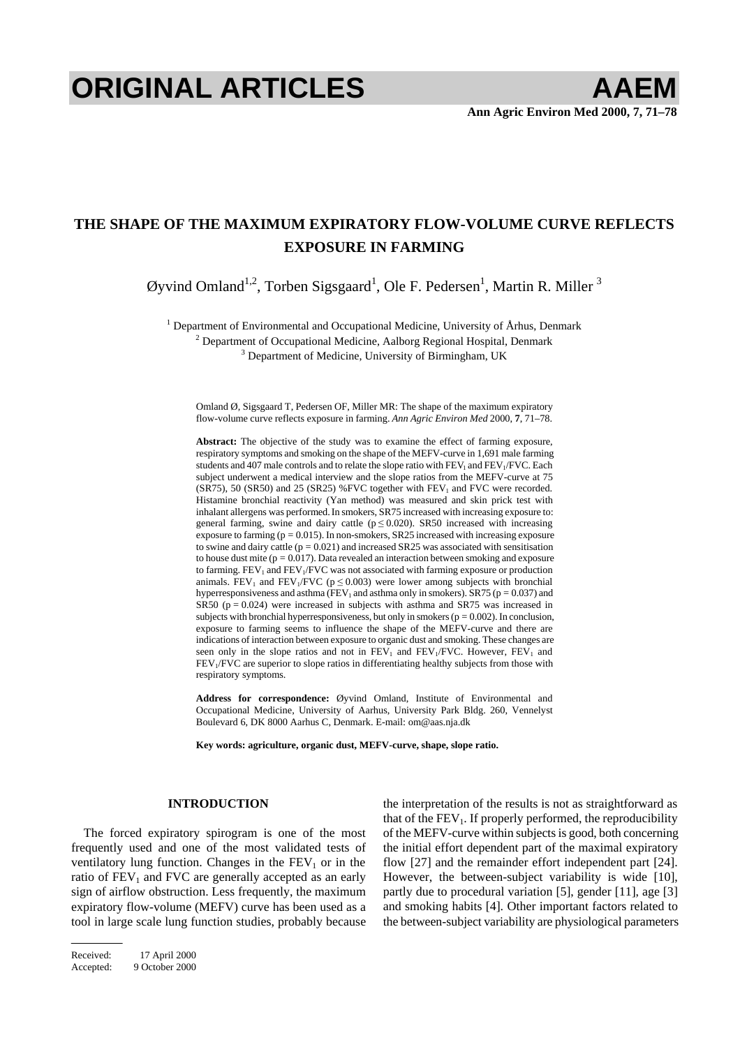# **ORIGINAL ARTICLES AAEM**

# **THE SHAPE OF THE MAXIMUM EXPIRATORY FLOW-VOLUME CURVE REFLECTS EXPOSURE IN FARMING**

Øyvind Omland<sup>1,2</sup>, Torben Sigsgaard<sup>1</sup>, Ole F. Pedersen<sup>1</sup>, Martin R. Miller<sup>3</sup>

<sup>1</sup> Department of Environmental and Occupational Medicine, University of Århus, Denmark  $\frac{2}{3}$  Department of Occupational Medicine, Aalborg Begional Hospital, Denmark

 $2$  Department of Occupational Medicine, Aalborg Regional Hospital, Denmark

 $3$  Department of Medicine, University of Birmingham, UK

Omland Ø, Sigsgaard T, Pedersen OF, Miller MR: The shape of the maximum expiratory flow-volume curve reflects exposure in farming. *Ann Agric Environ Med* 2000, **7**, 71–78.

**Abstract:** The objective of the study was to examine the effect of farming exposure, respiratory symptoms and smoking on the shape of the MEFV-curve in 1,691 male farming students and 407 male controls and to relate the slope ratio with  $FEV<sub>1</sub>$  and  $FEV<sub>1</sub>/FVC$ . Each subject underwent a medical interview and the slope ratios from the MEFV-curve at 75  $(SR75)$ , 50  $(SR50)$  and 25  $(SR25)$  %FVC together with FEV<sub>1</sub> and FVC were recorded. Histamine bronchial reactivity (Yan method) was measured and skin prick test with inhalant allergens was performed.In smokers, SR75 increased with increasing exposure to: general farming, swine and dairy cattle  $(p \le 0.020)$ . SR50 increased with increasing exposure to farming  $(p = 0.015)$ . In non-smokers, SR25 increased with increasing exposure to swine and dairy cattle  $(p = 0.021)$  and increased SR25 was associated with sensitisation to house dust mite ( $p = 0.017$ ). Data revealed an interaction between smoking and exposure to farming.  $FEV_1$  and  $FEV_1/FVC$  was not associated with farming exposure or production animals. FEV<sub>1</sub> and FEV<sub>1</sub>/FVC ( $p \le 0.003$ ) were lower among subjects with bronchial hyperresponsiveness and asthma (FEV<sub>1</sub> and asthma only in smokers). SR75 ( $p = 0.037$ ) and SR50 ( $p = 0.024$ ) were increased in subjects with asthma and SR75 was increased in subjects with bronchial hyperresponsiveness, but only in smokers ( $p = 0.002$ ). In conclusion, exposure to farming seems to influence the shape of the MEFV-curve and there are indications of interaction between exposure to organic dust and smoking. These changes are seen only in the slope ratios and not in  $FEV<sub>1</sub>$  and  $FEV<sub>1</sub>/FVC$ . However,  $FEV<sub>1</sub>$  and FEV<sub>1</sub>/FVC are superior to slope ratios in differentiating healthy subjects from those with respiratory symptoms.

**Address for correspondence:** Øyvind Omland, Institute of Environmental and Occupational Medicine, University of Aarhus, University Park Bldg. 260, Vennelyst Boulevard 6, DK 8000 Aarhus C, Denmark. E-mail: om@aas.nja.dk

**Key words: agriculture, organic dust, MEFV-curve, shape, slope ratio.** 

# **INTRODUCTION**

The forced expiratory spirogram is one of the most frequently used and one of the most validated tests of ventilatory lung function. Changes in the  $FEV<sub>1</sub>$  or in the ratio of  $FEV<sub>1</sub>$  and  $FVC$  are generally accepted as an early sign of airflow obstruction. Less frequently, the maximum expiratory flow-volume (MEFV) curve has been used as a tool in large scale lung function studies, probably because the interpretation of the results is not as straightforward as that of the  $FEV<sub>1</sub>$ . If properly performed, the reproducibility of the MEFV-curve within subjects is good, both concerning the initial effort dependent part of the maximal expiratory flow [27] and the remainder effort independent part [24]. However, the between-subject variability is wide [10], partly due to procedural variation [5], gender [11], age [3] and smoking habits [4]. Other important factors related to the between-subject variability are physiological parameters

Received: 17 April 2000 Accepted: 9 October 2000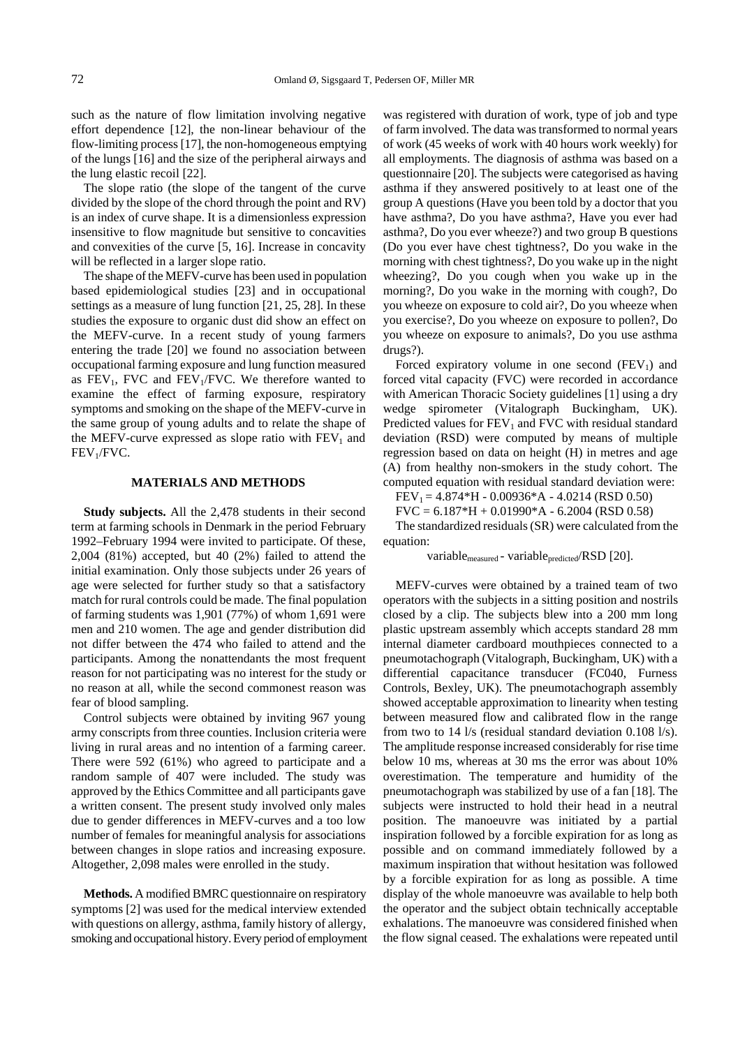such as the nature of flow limitation involving negative effort dependence [12], the non-linear behaviour of the flow-limiting process [17], the non-homogeneous emptying of the lungs [16] and the size of the peripheral airways and the lung elastic recoil [22].

The slope ratio (the slope of the tangent of the curve divided by the slope of the chord through the point and RV) is an index of curve shape. It is a dimensionless expression insensitive to flow magnitude but sensitive to concavities and convexities of the curve [5, 16]. Increase in concavity will be reflected in a larger slope ratio.

The shape of the MEFV-curve has been used in population based epidemiological studies [23] and in occupational settings as a measure of lung function [21, 25, 28]. In these studies the exposure to organic dust did show an effect on the MEFV-curve. In a recent study of young farmers entering the trade [20] we found no association between occupational farming exposure and lung function measured as  $FEV_1$ , FVC and  $FEV_1/FVC$ . We therefore wanted to examine the effect of farming exposure, respiratory symptoms and smoking on the shape of the MEFV-curve in the same group of young adults and to relate the shape of the MEFV-curve expressed as slope ratio with  $FEV<sub>1</sub>$  and  $FEV<sub>1</sub>/FVC.$ 

## **MATERIALS AND METHODS**

**Study subjects.** All the 2,478 students in their second term at farming schools in Denmark in the period February 1992–February 1994 were invited to participate. Of these, 2,004 (81%) accepted, but 40 (2%) failed to attend the initial examination. Only those subjects under 26 years of age were selected for further study so that a satisfactory match for rural controls could be made. The final population of farming students was 1,901 (77%) of whom 1,691 were men and 210 women. The age and gender distribution did not differ between the 474 who failed to attend and the participants. Among the nonattendants the most frequent reason for not participating was no interest for the study or no reason at all, while the second commonest reason was fear of blood sampling.

Control subjects were obtained by inviting 967 young army conscripts from three counties. Inclusion criteria were living in rural areas and no intention of a farming career. There were 592 (61%) who agreed to participate and a random sample of 407 were included. The study was approved by the Ethics Committee and all participants gave a written consent. The present study involved only males due to gender differences in MEFV-curves and a too low number of females for meaningful analysis for associations between changes in slope ratios and increasing exposure. Altogether, 2,098 males were enrolled in the study.

**Methods.** A modified BMRC questionnaire on respiratory symptoms [2] was used for the medical interview extended with questions on allergy, asthma, family history of allergy, smoking and occupational history. Every period of employment was registered with duration of work, type of job and type of farm involved. The data was transformed to normal years of work (45 weeks of work with 40 hours work weekly) for all employments. The diagnosis of asthma was based on a questionnaire [20]. The subjects were categorised as having asthma if they answered positively to at least one of the group A questions (Have you been told by a doctor that you have asthma?, Do you have asthma?, Have you ever had asthma?, Do you ever wheeze?) and two group B questions (Do you ever have chest tightness?, Do you wake in the morning with chest tightness?, Do you wake up in the night wheezing?, Do you cough when you wake up in the morning?, Do you wake in the morning with cough?, Do you wheeze on exposure to cold air?, Do you wheeze when you exercise?, Do you wheeze on exposure to pollen?, Do you wheeze on exposure to animals?, Do you use asthma drugs?).

Forced expiratory volume in one second  $(FEV_1)$  and forced vital capacity (FVC) were recorded in accordance with American Thoracic Society guidelines [1] using a dry wedge spirometer (Vitalograph Buckingham, UK). Predicted values for  $FEV<sub>1</sub>$  and FVC with residual standard deviation (RSD) were computed by means of multiple regression based on data on height (H) in metres and age (A) from healthy non-smokers in the study cohort. The computed equation with residual standard deviation were:

 $FEV_1 = 4.874*H - 0.00936*A - 4.0214 (RSD 0.50)$  $FVC = 6.187*H + 0.01990*A - 6.2004 (RSD 0.58)$ 

The standardized residuals (SR) were calculated from the

equation:

variable<sub>measured</sub> - variable<sub>predicted</sub>/RSD [20].

MEFV-curves were obtained by a trained team of two operators with the subjects in a sitting position and nostrils closed by a clip. The subjects blew into a 200 mm long plastic upstream assembly which accepts standard 28 mm internal diameter cardboard mouthpieces connected to a pneumotachograph (Vitalograph, Buckingham, UK) with a differential capacitance transducer (FC040, Furness Controls, Bexley, UK). The pneumotachograph assembly showed acceptable approximation to linearity when testing between measured flow and calibrated flow in the range from two to 14 l/s (residual standard deviation 0.108 l/s). The amplitude response increased considerably for rise time below 10 ms, whereas at 30 ms the error was about 10% overestimation. The temperature and humidity of the pneumotachograph was stabilized by use of a fan [18]. The subjects were instructed to hold their head in a neutral position. The manoeuvre was initiated by a partial inspiration followed by a forcible expiration for as long as possible and on command immediately followed by a maximum inspiration that without hesitation was followed by a forcible expiration for as long as possible. A time display of the whole manoeuvre was available to help both the operator and the subject obtain technically acceptable exhalations. The manoeuvre was considered finished when the flow signal ceased. The exhalations were repeated until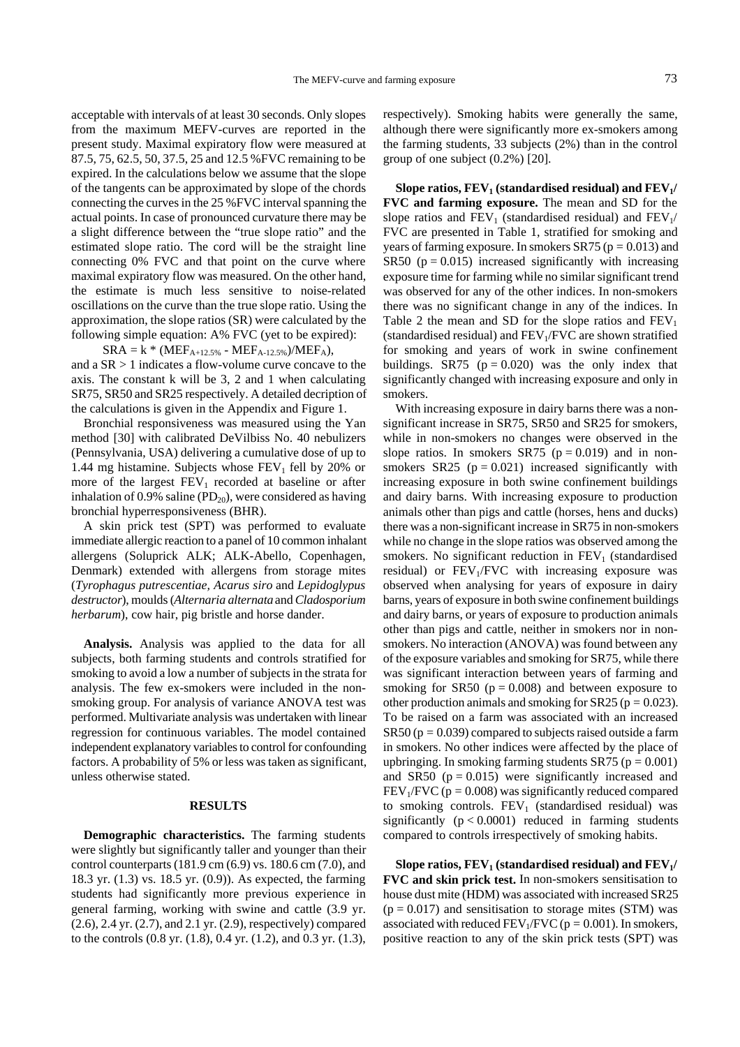acceptable with intervals of at least 30 seconds. Only slopes from the maximum MEFV-curves are reported in the present study. Maximal expiratory flow were measured at 87.5, 75, 62.5, 50, 37.5, 25 and 12.5 %FVC remaining to be expired. In the calculations below we assume that the slope of the tangents can be approximated by slope of the chords connecting the curves in the 25 %FVC interval spanning the actual points. In case of pronounced curvature there may be a slight difference between the "true slope ratio" and the estimated slope ratio. The cord will be the straight line connecting 0% FVC and that point on the curve where maximal expiratory flow was measured. On the other hand, the estimate is much less sensitive to noise-related oscillations on the curve than the true slope ratio. Using the approximation, the slope ratios (SR) were calculated by the following simple equation: A% FVC (yet to be expired):

 $SRA = k * (MEF<sub>A+12.5%</sub> - MEF<sub>A-12.5%</sub>)/MEF<sub>A</sub>$ and a SR > 1 indicates a flow-volume curve concave to the axis. The constant k will be 3, 2 and 1 when calculating SR75, SR50 and SR25 respectively. A detailed decription of the calculations is given in the Appendix and Figure 1.

Bronchial responsiveness was measured using the Yan method [30] with calibrated DeVilbiss No. 40 nebulizers (Pennsylvania, USA) delivering a cumulative dose of up to 1.44 mg histamine. Subjects whose  $FEV<sub>1</sub>$  fell by 20% or more of the largest  $FEV<sub>1</sub>$  recorded at baseline or after inhalation of 0.9% saline ( $PD_{20}$ ), were considered as having bronchial hyperresponsiveness (BHR).

A skin prick test (SPT) was performed to evaluate immediate allergic reaction to a panel of 10 common inhalant allergens (Soluprick ALK; ALK-Abello, Copenhagen, Denmark) extended with allergens from storage mites (*Tyrophagus putrescentiae, Acarus siro* and *Lepidoglypus destructor*), moulds (*Alternaria alternata* and *Cladosporium herbarum*), cow hair, pig bristle and horse dander.

**Analysis.** Analysis was applied to the data for all subjects, both farming students and controls stratified for smoking to avoid a low a number of subjects in the strata for analysis. The few ex-smokers were included in the nonsmoking group. For analysis of variance ANOVA test was performed. Multivariate analysis was undertaken with linear regression for continuous variables. The model contained independent explanatory variables to control for confounding factors. A probability of 5% or less was taken as significant, unless otherwise stated.

#### **RESULTS**

**Demographic characteristics.** The farming students were slightly but significantly taller and younger than their control counterparts (181.9 cm (6.9) vs. 180.6 cm (7.0), and 18.3 yr. (1.3) vs. 18.5 yr. (0.9)). As expected, the farming students had significantly more previous experience in general farming, working with swine and cattle (3.9 yr. (2.6), 2.4 yr. (2.7), and 2.1 yr. (2.9), respectively) compared to the controls (0.8 yr. (1.8), 0.4 yr. (1.2), and 0.3 yr. (1.3), respectively). Smoking habits were generally the same, although there were significantly more ex-smokers among the farming students, 33 subjects (2%) than in the control group of one subject (0.2%) [20].

**Slope ratios, FEV<sub>1</sub> (standardised residual) and FEV<sub>1</sub>/ FVC and farming exposure.** The mean and SD for the slope ratios and  $FEV_1$  (standardised residual) and  $FEV_1/$ FVC are presented in Table 1, stratified for smoking and years of farming exposure. In smokers  $S R 75$  ( $p = 0.013$ ) and SR50 ( $p = 0.015$ ) increased significantly with increasing exposure time for farming while no similar significant trend was observed for any of the other indices. In non-smokers there was no significant change in any of the indices. In Table 2 the mean and SD for the slope ratios and  $FEV<sub>1</sub>$ (standardised residual) and  $FEV<sub>1</sub>/FVC$  are shown stratified for smoking and years of work in swine confinement buildings. SR75 ( $p = 0.020$ ) was the only index that significantly changed with increasing exposure and only in smokers.

With increasing exposure in dairy barns there was a nonsignificant increase in SR75, SR50 and SR25 for smokers, while in non-smokers no changes were observed in the slope ratios. In smokers SR75 ( $p = 0.019$ ) and in nonsmokers  $SR25$  ( $p = 0.021$ ) increased significantly with increasing exposure in both swine confinement buildings and dairy barns. With increasing exposure to production animals other than pigs and cattle (horses, hens and ducks) there was a non-significant increase in SR75 in non-smokers while no change in the slope ratios was observed among the smokers. No significant reduction in  $FEV<sub>1</sub>$  (standardised residual) or  $FEV<sub>1</sub>/FVC$  with increasing exposure was observed when analysing for years of exposure in dairy barns, years of exposure in both swine confinement buildings and dairy barns, or years of exposure to production animals other than pigs and cattle, neither in smokers nor in nonsmokers. No interaction (ANOVA) was found between any of the exposure variables and smoking for SR75, while there was significant interaction between years of farming and smoking for SR50 ( $p = 0.008$ ) and between exposure to other production animals and smoking for SR25 ( $p = 0.023$ ). To be raised on a farm was associated with an increased  $SRS0 (p = 0.039)$  compared to subjects raised outside a farm in smokers. No other indices were affected by the place of upbringing. In smoking farming students  $S R75$  ( $p = 0.001$ ) and SR50 ( $p = 0.015$ ) were significantly increased and  $FEV<sub>1</sub>/FVC$  ( $p = 0.008$ ) was significantly reduced compared to smoking controls.  $FEV<sub>1</sub>$  (standardised residual) was significantly  $(p < 0.0001)$  reduced in farming students compared to controls irrespectively of smoking habits.

Slope ratios,  $FEV_1$  (standardised residual) and  $FEV_1/$ **FVC and skin prick test.** In non-smokers sensitisation to house dust mite (HDM) was associated with increased SR25  $(p = 0.017)$  and sensitisation to storage mites (STM) was associated with reduced  $FEV<sub>1</sub>/FVC$  ( $p = 0.001$ ). In smokers, positive reaction to any of the skin prick tests (SPT) was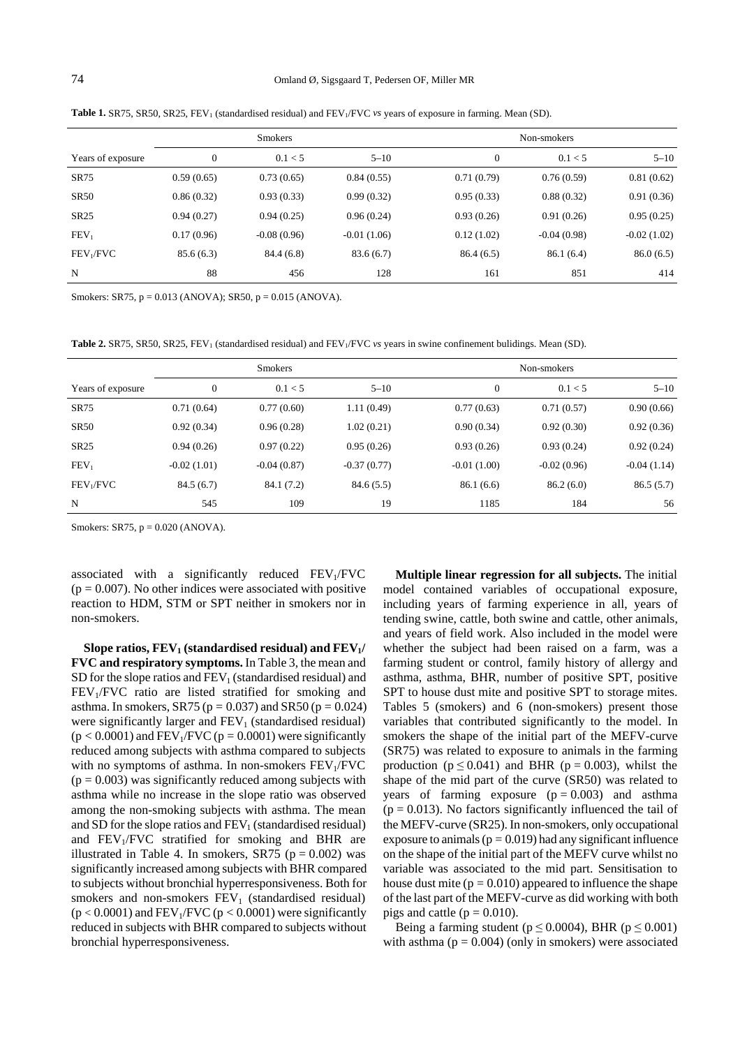# 74 Omland Ø, Sigsgaard T, Pedersen OF, Miller MR

**Table 1.** SR75, SR50, SR25, FEV<sub>1</sub> (standardised residual) and FEV<sub>1</sub>/FVC *vs* years of exposure in farming. Mean (SD).

|                       | <b>Smokers</b> |               |               |              | Non-smokers   |               |  |
|-----------------------|----------------|---------------|---------------|--------------|---------------|---------------|--|
| Years of exposure     | $\mathbf{0}$   | 0.1 < 5       | $5 - 10$      | $\mathbf{0}$ | 0.1 < 5       | $5 - 10$      |  |
| <b>SR75</b>           | 0.59(0.65)     | 0.73(0.65)    | 0.84(0.55)    | 0.71(0.79)   | 0.76(0.59)    | 0.81(0.62)    |  |
| <b>SR50</b>           | 0.86(0.32)     | 0.93(0.33)    | 0.99(0.32)    | 0.95(0.33)   | 0.88(0.32)    | 0.91(0.36)    |  |
| SR25                  | 0.94(0.27)     | 0.94(0.25)    | 0.96(0.24)    | 0.93(0.26)   | 0.91(0.26)    | 0.95(0.25)    |  |
| FEV <sub>1</sub>      | 0.17(0.96)     | $-0.08(0.96)$ | $-0.01(1.06)$ | 0.12(1.02)   | $-0.04(0.98)$ | $-0.02(1.02)$ |  |
| FEV <sub>1</sub> /FVC | 85.6(6.3)      | 84.4 (6.8)    | 83.6 (6.7)    | 86.4(6.5)    | 86.1(6.4)     | 86.0(6.5)     |  |
| N                     | 88             | 456           | 128           | 161          | 851           | 414           |  |

Smokers: SR75,  $p = 0.013$  (ANOVA); SR50,  $p = 0.015$  (ANOVA).

**Table 2.** SR75, SR50, SR25, FEV<sub>1</sub> (standardised residual) and FEV<sub>1</sub>/FVC *vs* years in swine confinement bulidings. Mean (SD).

|                       | <b>Smokers</b> |               |               | Non-smokers   |               |               |
|-----------------------|----------------|---------------|---------------|---------------|---------------|---------------|
| Years of exposure     | $\Omega$       | 0.1 < 5       | $5 - 10$      | $\mathbf{0}$  | 0.1 < 5       | $5 - 10$      |
| <b>SR75</b>           | 0.71(0.64)     | 0.77(0.60)    | 1.11(0.49)    | 0.77(0.63)    | 0.71(0.57)    | 0.90(0.66)    |
| <b>SR50</b>           | 0.92(0.34)     | 0.96(0.28)    | 1.02(0.21)    | 0.90(0.34)    | 0.92(0.30)    | 0.92(0.36)    |
| SR25                  | 0.94(0.26)     | 0.97(0.22)    | 0.95(0.26)    | 0.93(0.26)    | 0.93(0.24)    | 0.92(0.24)    |
| FEV <sub>1</sub>      | $-0.02(1.01)$  | $-0.04(0.87)$ | $-0.37(0.77)$ | $-0.01(1.00)$ | $-0.02(0.96)$ | $-0.04(1.14)$ |
| FEV <sub>1</sub> /FVC | 84.5(6.7)      | 84.1 (7.2)    | 84.6(5.5)     | 86.1(6.6)     | 86.2(6.0)     | 86.5(5.7)     |
| N                     | 545            | 109           | 19            | 1185          | 184           | 56            |

Smokers: SR75,  $p = 0.020$  (ANOVA).

associated with a significantly reduced  $FEV<sub>1</sub>/FVC$  $(p = 0.007)$ . No other indices were associated with positive reaction to HDM, STM or SPT neither in smokers nor in non-smokers.

**Slope ratios,**  $FEV_1$  **(standardised residual) and**  $FEV_1/$ **FVC and respiratory symptoms.** In Table 3, the mean and SD for the slope ratios and  $FEV<sub>1</sub>$  (standardised residual) and  $FEV<sub>1</sub>/FVC$  ratio are listed stratified for smoking and asthma. In smokers, SR75 ( $p = 0.037$ ) and SR50 ( $p = 0.024$ ) were significantly larger and  $FEV<sub>1</sub>$  (standardised residual)  $(p < 0.0001)$  and FEV<sub>1</sub>/FVC ( $p = 0.0001$ ) were significantly reduced among subjects with asthma compared to subjects with no symptoms of asthma. In non-smokers  $FEV<sub>1</sub>/FVC$  $(p = 0.003)$  was significantly reduced among subjects with asthma while no increase in the slope ratio was observed among the non-smoking subjects with asthma. The mean and SD for the slope ratios and  $FEV<sub>1</sub>$  (standardised residual) and  $FEV<sub>1</sub>/FVC$  stratified for smoking and BHR are illustrated in Table 4. In smokers, SR75 ( $p = 0.002$ ) was significantly increased among subjects with BHR compared to subjects without bronchial hyperresponsiveness. Both for smokers and non-smokers  $FEV<sub>1</sub>$  (standardised residual)  $(p < 0.0001)$  and FEV<sub>1</sub>/FVC  $(p < 0.0001)$  were significantly reduced in subjects with BHR compared to subjects without bronchial hyperresponsiveness.

**Multiple linear regression for all subjects.** The initial model contained variables of occupational exposure, including years of farming experience in all, years of tending swine, cattle, both swine and cattle, other animals, and years of field work. Also included in the model were whether the subject had been raised on a farm, was a farming student or control, family history of allergy and asthma, asthma, BHR, number of positive SPT, positive SPT to house dust mite and positive SPT to storage mites. Tables 5 (smokers) and 6 (non-smokers) present those variables that contributed significantly to the model. In smokers the shape of the initial part of the MEFV-curve (SR75) was related to exposure to animals in the farming production ( $p \le 0.041$ ) and BHR ( $p = 0.003$ ), whilst the shape of the mid part of the curve (SR50) was related to years of farming exposure  $(p = 0.003)$  and asthma  $(p = 0.013)$ . No factors significantly influenced the tail of the MEFV-curve (SR25). In non-smokers, only occupational exposure to animals ( $p = 0.019$ ) had any significant influence on the shape of the initial part of the MEFV curve whilst no variable was associated to the mid part. Sensitisation to house dust mite ( $p = 0.010$ ) appeared to influence the shape of the last part of the MEFV-curve as did working with both pigs and cattle ( $p = 0.010$ ).

Being a farming student ( $p \le 0.0004$ ), BHR ( $p \le 0.001$ ) with asthma ( $p = 0.004$ ) (only in smokers) were associated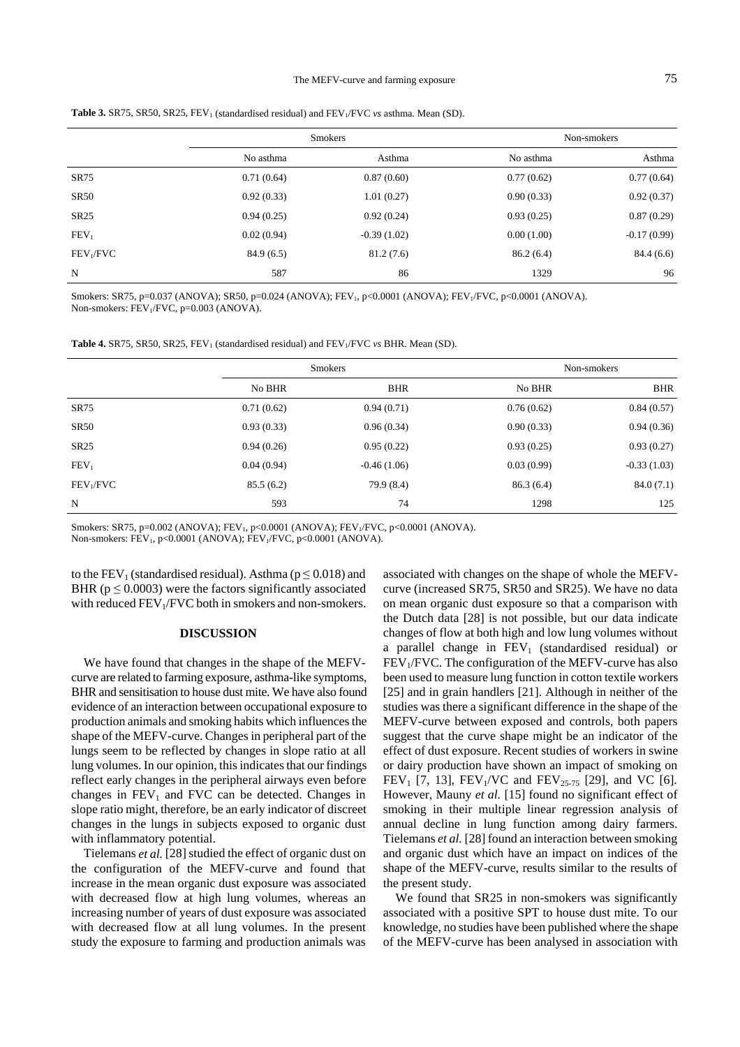#### The MEFV-curve and farming exposure 75

|                       |            | <b>Smokers</b> | Non-smokers |               |  |
|-----------------------|------------|----------------|-------------|---------------|--|
|                       | No asthma  | Asthma         | No asthma   | Asthma        |  |
| SR75                  | 0.71(0.64) | 0.87(0.60)     | 0.77(0.62)  | 0.77(0.64)    |  |
| <b>SR50</b>           | 0.92(0.33) | 1.01(0.27)     | 0.90(0.33)  | 0.92(0.37)    |  |
| SR25                  | 0.94(0.25) | 0.92(0.24)     | 0.93(0.25)  | 0.87(0.29)    |  |
| FEV <sub>1</sub>      | 0.02(0.94) | $-0.39(1.02)$  | 0.00(1.00)  | $-0.17(0.99)$ |  |
| FEV <sub>1</sub> /FVC | 84.9(6.5)  | 81.2(7.6)      | 86.2(6.4)   | 84.4 (6.6)    |  |
| $\mathbf N$           | 587        | 86             | 1329        | 96            |  |

**Table 3.** SR75, SR50, SR25, FEV<sub>1</sub> (standardised residual) and FEV<sub>1</sub>/FVC *vs* asthma. Mean (SD).

Smokers: SR75, p=0.037 (ANOVA); SR50, p=0.024 (ANOVA); FEV<sub>1</sub>, p<0.0001 (ANOVA); FEV<sub>1</sub>/FVC, p<0.0001 (ANOVA). Non-smokers: FEV<sub>1</sub>/FVC, p=0.003 (ANOVA).

|  |  | <b>Table 4.</b> SR75, SR50, SR25, FEV <sub>1</sub> (standardised residual) and FEV <sub>1</sub> /FVC vs BHR. Mean (SD). |  |
|--|--|-------------------------------------------------------------------------------------------------------------------------|--|
|--|--|-------------------------------------------------------------------------------------------------------------------------|--|

|                       |            | <b>Smokers</b> |            | Non-smokers   |  |  |
|-----------------------|------------|----------------|------------|---------------|--|--|
|                       | No BHR     | <b>BHR</b>     | No BHR     | <b>BHR</b>    |  |  |
| SR75                  | 0.71(0.62) | 0.94(0.71)     | 0.76(0.62) | 0.84(0.57)    |  |  |
| <b>SR50</b>           | 0.93(0.33) | 0.96(0.34)     | 0.90(0.33) | 0.94(0.36)    |  |  |
| <b>SR25</b>           | 0.94(0.26) | 0.95(0.22)     | 0.93(0.25) | 0.93(0.27)    |  |  |
| FEV <sub>1</sub>      | 0.04(0.94) | $-0.46(1.06)$  | 0.03(0.99) | $-0.33(1.03)$ |  |  |
| FEV <sub>1</sub> /FVC | 85.5(6.2)  | 79.9 (8.4)     | 86.3(6.4)  | 84.0(7.1)     |  |  |
| N                     | 593        | 74             | 1298       | 125           |  |  |

Smokers: SR75, p=0.002 (ANOVA);  $FEV_1$ , p<0.0001 (ANOVA);  $FEV_1/FVC$ , p<0.0001 (ANOVA).

Non-smokers: FEV<sub>1</sub>, p<0.0001 (ANOVA); FEV<sub>1</sub>/FVC, p<0.0001 (ANOVA).

to the FEV<sub>1</sub> (standardised residual). Asthma ( $p \le 0.018$ ) and BHR ( $p \le 0.0003$ ) were the factors significantly associated with reduced  $FEV<sub>1</sub>/FVC$  both in smokers and non-smokers.

# **DISCUSSION**

We have found that changes in the shape of the MEFVcurve are related to farming exposure, asthma-like symptoms, BHR and sensitisation to house dust mite. We have also found evidence of an interaction between occupational exposure to production animals and smoking habits which influences the shape of the MEFV-curve. Changes in peripheral part of the lungs seem to be reflected by changes in slope ratio at all lung volumes. In our opinion, this indicates that our findings reflect early changes in the peripheral airways even before changes in  $FEV<sub>1</sub>$  and  $FVC$  can be detected. Changes in slope ratio might, therefore, be an early indicator of discreet changes in the lungs in subjects exposed to organic dust with inflammatory potential.

Tielemans *et al.* [28] studied the effect of organic dust on the configuration of the MEFV-curve and found that increase in the mean organic dust exposure was associated with decreased flow at high lung volumes, whereas an increasing number of years of dust exposure was associated with decreased flow at all lung volumes. In the present study the exposure to farming and production animals was

associated with changes on the shape of whole the MEFVcurve (increased SR75, SR50 and SR25). We have no data on mean organic dust exposure so that a comparison with the Dutch data [28] is not possible, but our data indicate changes of flow at both high and low lung volumes without a parallel change in  $FEV<sub>1</sub>$  (standardised residual) or  $FEV<sub>1</sub>/FVC$ . The configuration of the MEFV-curve has also been used to measure lung function in cotton textile workers [25] and in grain handlers [21]. Although in neither of the studies was there a significant difference in the shape of the MEFV-curve between exposed and controls, both papers suggest that the curve shape might be an indicator of the effect of dust exposure. Recent studies of workers in swine or dairy production have shown an impact of smoking on  $FEV<sub>1</sub>$  [7, 13],  $FEV<sub>1</sub>/VC$  and  $FEV<sub>25-75</sub>$  [29], and VC [6]. However, Mauny *et al.* [15] found no significant effect of smoking in their multiple linear regression analysis of annual decline in lung function among dairy farmers. Tielemans *et al.* [28] found an interaction between smoking and organic dust which have an impact on indices of the shape of the MEFV-curve, results similar to the results of the present study.

We found that SR25 in non-smokers was significantly associated with a positive SPT to house dust mite. To our knowledge, no studies have been published where the shape of the MEFV-curve has been analysed in association with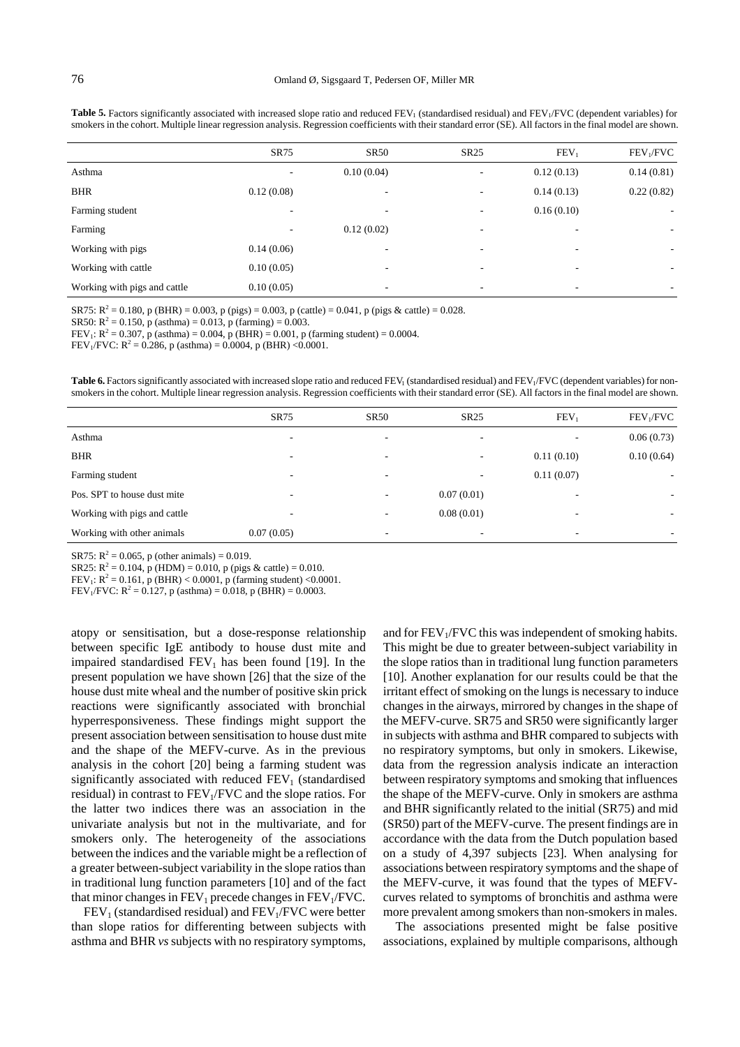|                              | <b>SR75</b> | <b>SR50</b>              | <b>SR25</b>              | FEV <sub>1</sub>         | FEV <sub>1</sub> /FVC    |
|------------------------------|-------------|--------------------------|--------------------------|--------------------------|--------------------------|
| Asthma                       |             | 0.10(0.04)               |                          | 0.12(0.13)               | 0.14(0.81)               |
| <b>BHR</b>                   | 0.12(0.08)  |                          | ۰                        | 0.14(0.13)               | 0.22(0.82)               |
| Farming student              |             |                          |                          | 0.16(0.10)               | $\overline{\phantom{a}}$ |
| Farming                      | ٠           | 0.12(0.02)               | ۰                        | ۰                        | ۰.                       |
| Working with pigs            | 0.14(0.06)  | $\overline{\phantom{a}}$ | $\overline{\phantom{a}}$ |                          | -                        |
| Working with cattle          | 0.10(0.05)  | $\overline{\phantom{a}}$ | $\overline{\phantom{a}}$ | $\overline{\phantom{a}}$ | ۰                        |
| Working with pigs and cattle | 0.10(0.05)  | -                        | ۰                        | ۰                        | ۰                        |

**Table 5.** Factors significantly associated with increased slope ratio and reduced FEV<sub>1</sub> (standardised residual) and FEV<sub>1</sub>/FVC (dependent variables) for smokers in the cohort. Multiple linear regression analysis. Regression coefficients with their standard error (SE). All factors in the final model are shown.

SR75:  $R^2 = 0.180$ , p (BHR) = 0.003, p (pigs) = 0.003, p (cattle) = 0.041, p (pigs & cattle) = 0.028.

SR50:  $R^2 = 0.150$ , p (asthma) = 0.013, p (farming) = 0.003.

FEV<sub>1</sub>:  $R^2 = 0.307$ , p (asthma) = 0.004, p (BHR) = 0.001, p (farming student) = 0.0004.

FEV<sub>1</sub>/FVC:  $R^2 = 0.286$ , p (asthma) = 0.0004, p (BHR) < 0.0001.

Table 6. Factors significantly associated with increased slope ratio and reduced FEV<sub>1</sub> (standardised residual) and FEV<sub>1</sub>/FVC (dependent variables) for nonsmokers in the cohort. Multiple linear regression analysis. Regression coefficients with their standard error (SE). All factors in the final model are shown.

|                              | <b>SR75</b> | <b>SR50</b> | <b>SR25</b> | FEV <sub>1</sub> | FEV <sub>1</sub> /FVC    |
|------------------------------|-------------|-------------|-------------|------------------|--------------------------|
| Asthma                       | ۰           | ۰           |             | ۰                | 0.06(0.73)               |
| <b>BHR</b>                   | ۰           | ۰           |             | 0.11(0.10)       | 0.10(0.64)               |
| Farming student              | ۰           | ۰           | ۰           | 0.11(0.07)       | $\overline{\phantom{a}}$ |
| Pos. SPT to house dust mite  | ۰           | ٠           | 0.07(0.01)  | ٠                |                          |
| Working with pigs and cattle |             |             | 0.08(0.01)  |                  | $\overline{\phantom{a}}$ |
| Working with other animals   | 0.07(0.05)  |             |             | ۰                | ۰                        |

SR75:  $R^2 = 0.065$ , p (other animals) = 0.019.

SR25:  $R^2 = 0.104$ , p (HDM) = 0.010, p (pigs & cattle) = 0.010.

FEV<sub>1</sub>:  $R^2 = 0.161$ , p (BHR) < 0.0001, p (farming student) < 0.0001.

FEV<sub>1</sub>/FVC:  $R^2 = 0.127$ , p (asthma) = 0.018, p (BHR) = 0.0003.

atopy or sensitisation, but a dose-response relationship between specific IgE antibody to house dust mite and impaired standardised  $FEV<sub>1</sub>$  has been found [19]. In the present population we have shown [26] that the size of the house dust mite wheal and the number of positive skin prick reactions were significantly associated with bronchial hyperresponsiveness. These findings might support the present association between sensitisation to house dust mite and the shape of the MEFV-curve. As in the previous analysis in the cohort [20] being a farming student was significantly associated with reduced  $FEV<sub>1</sub>$  (standardised residual) in contrast to  $FEV<sub>1</sub>/FVC$  and the slope ratios. For the latter two indices there was an association in the univariate analysis but not in the multivariate, and for smokers only. The heterogeneity of the associations between the indices and the variable might be a reflection of a greater between-subject variability in the slope ratios than in traditional lung function parameters [10] and of the fact that minor changes in  $FEV_1$  precede changes in  $FEV_1/FVC$ .

 $FEV<sub>1</sub>$  (standardised residual) and  $FEV<sub>1</sub>/FVC$  were better than slope ratios for differenting between subjects with asthma and BHR *vs* subjects with no respiratory symptoms, and for  $FEV<sub>1</sub>/FVC$  this was independent of smoking habits. This might be due to greater between-subject variability in the slope ratios than in traditional lung function parameters [10]. Another explanation for our results could be that the irritant effect of smoking on the lungs is necessary to induce changes in the airways, mirrored by changes in the shape of the MEFV-curve. SR75 and SR50 were significantly larger in subjects with asthma and BHR compared to subjects with no respiratory symptoms, but only in smokers. Likewise, data from the regression analysis indicate an interaction between respiratory symptoms and smoking that influences the shape of the MEFV-curve. Only in smokers are asthma and BHR significantly related to the initial (SR75) and mid (SR50) part of the MEFV-curve. The present findings are in accordance with the data from the Dutch population based on a study of 4,397 subjects [23]. When analysing for associations between respiratory symptoms and the shape of the MEFV-curve, it was found that the types of MEFVcurves related to symptoms of bronchitis and asthma were more prevalent among smokers than non-smokers in males.

The associations presented might be false positive associations, explained by multiple comparisons, although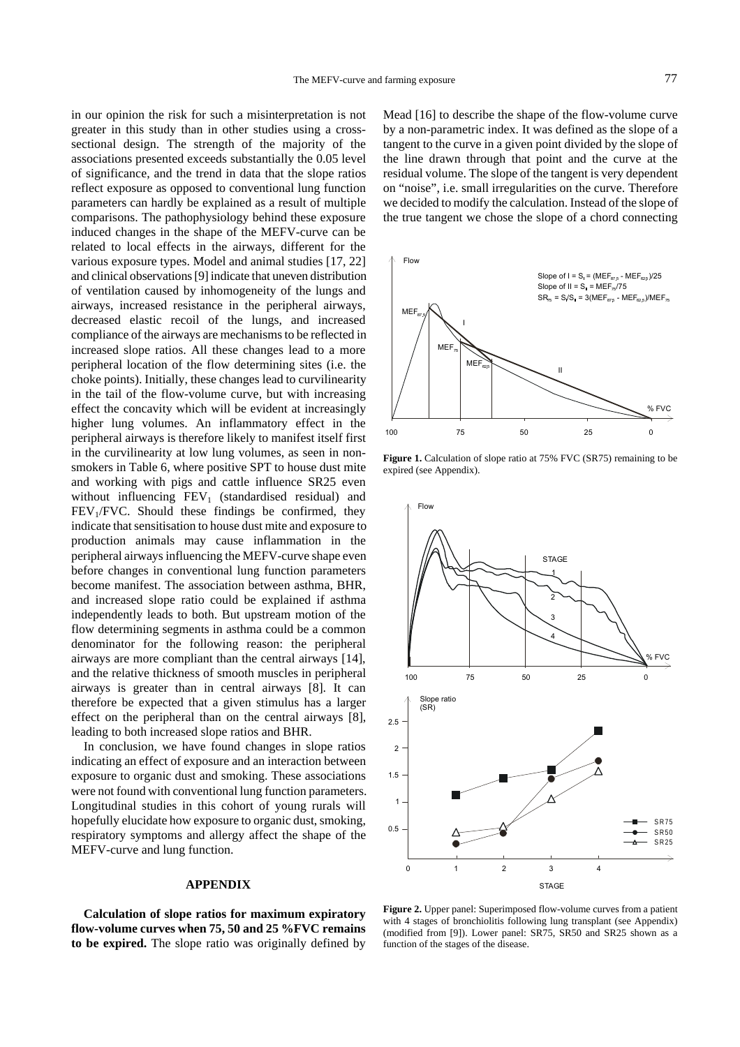in our opinion the risk for such a misinterpretation is not greater in this study than in other studies using a crosssectional design. The strength of the majority of the associations presented exceeds substantially the 0.05 level of significance, and the trend in data that the slope ratios reflect exposure as opposed to conventional lung function parameters can hardly be explained as a result of multiple comparisons. The pathophysiology behind these exposure induced changes in the shape of the MEFV-curve can be related to local effects in the airways, different for the various exposure types. Model and animal studies [17, 22] and clinical observations [9] indicate that uneven distribution of ventilation caused by inhomogeneity of the lungs and airways, increased resistance in the peripheral airways, decreased elastic recoil of the lungs, and increased compliance of the airways are mechanisms to be reflected in increased slope ratios. All these changes lead to a more peripheral location of the flow determining sites (i.e. the choke points). Initially, these changes lead to curvilinearity in the tail of the flow-volume curve, but with increasing effect the concavity which will be evident at increasingly higher lung volumes. An inflammatory effect in the peripheral airways is therefore likely to manifest itself first in the curvilinearity at low lung volumes, as seen in nonsmokers in Table 6, where positive SPT to house dust mite and working with pigs and cattle influence SR25 even without influencing  $FEV<sub>1</sub>$  (standardised residual) and  $FEV<sub>1</sub>/FVC$ . Should these findings be confirmed, they indicate that sensitisation to house dust mite and exposure to production animals may cause inflammation in the peripheral airways influencing the MEFV-curve shape even before changes in conventional lung function parameters become manifest. The association between asthma, BHR, and increased slope ratio could be explained if asthma independently leads to both. But upstream motion of the flow determining segments in asthma could be a common denominator for the following reason: the peripheral airways are more compliant than the central airways [14], and the relative thickness of smooth muscles in peripheral airways is greater than in central airways [8]. It can therefore be expected that a given stimulus has a larger effect on the peripheral than on the central airways [8], leading to both increased slope ratios and BHR.

In conclusion, we have found changes in slope ratios indicating an effect of exposure and an interaction between exposure to organic dust and smoking. These associations were not found with conventional lung function parameters. Longitudinal studies in this cohort of young rurals will hopefully elucidate how exposure to organic dust, smoking, respiratory symptoms and allergy affect the shape of the MEFV-curve and lung function.

### **APPENDIX**

**Calculation of slope ratios for maximum expiratory flow-volume curves when 75, 50 and 25 %FVC remains to be expired.** The slope ratio was originally defined by Mead [16] to describe the shape of the flow-volume curve by a non-parametric index. It was defined as the slope of a tangent to the curve in a given point divided by the slope of the line drawn through that point and the curve at the residual volume. The slope of the tangent is very dependent on "noise", i.e. small irregularities on the curve. Therefore we decided to modify the calculation. Instead of the slope of the true tangent we chose the slope of a chord connecting



**Figure 1.** Calculation of slope ratio at 75% FVC (SR75) remaining to be expired (see Appendix).



**Figure 2.** Upper panel: Superimposed flow-volume curves from a patient with 4 stages of bronchiolitis following lung transplant (see Appendix) (modified from [9]). Lower panel: SR75, SR50 and SR25 shown as a function of the stages of the disease.